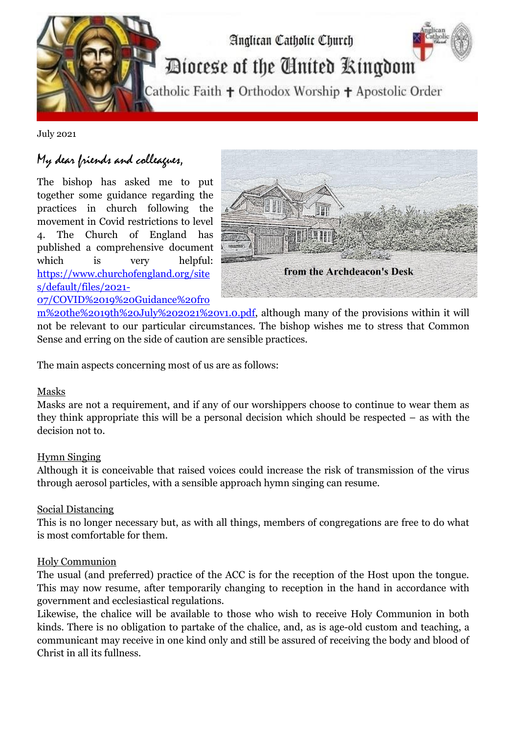

July 2021

# My dear friends and colleagues,

The bishop has asked me to put together some guidance regarding the practices in church following the movement in Covid restrictions to level 4. The Church of England has published a comprehensive document which is very helpful: [https://www.churchofengland.org/site](https://www.churchofengland.org/sites/default/files/2021-07/COVID%2019%20Guidance%20from%20the%2019th%20July%202021%20v1.0.pdf) [s/default/files/2021-](https://www.churchofengland.org/sites/default/files/2021-07/COVID%2019%20Guidance%20from%20the%2019th%20July%202021%20v1.0.pdf) [07/COVID%2019%20Guidance%20fro](https://www.churchofengland.org/sites/default/files/2021-07/COVID%2019%20Guidance%20from%20the%2019th%20July%202021%20v1.0.pdf)



[m%20the%2019th%20July%202021%20v1.0.pdf,](https://www.churchofengland.org/sites/default/files/2021-07/COVID%2019%20Guidance%20from%20the%2019th%20July%202021%20v1.0.pdf) although many of the provisions within it will not be relevant to our particular circumstances. The bishop wishes me to stress that Common Sense and erring on the side of caution are sensible practices.

The main aspects concerning most of us are as follows:

## Masks

Masks are not a requirement, and if any of our worshippers choose to continue to wear them as they think appropriate this will be a personal decision which should be respected  $-$  as with the decision not to.

## Hymn Singing

Although it is conceivable that raised voices could increase the risk of transmission of the virus through aerosol particles, with a sensible approach hymn singing can resume.

## Social Distancing

This is no longer necessary but, as with all things, members of congregations are free to do what is most comfortable for them.

## Holy Communion

The usual (and preferred) practice of the ACC is for the reception of the Host upon the tongue. This may now resume, after temporarily changing to reception in the hand in accordance with government and ecclesiastical regulations.

Likewise, the chalice will be available to those who wish to receive Holy Communion in both kinds. There is no obligation to partake of the chalice, and, as is age-old custom and teaching, a communicant may receive in one kind only and still be assured of receiving the body and blood of Christ in all its fullness.